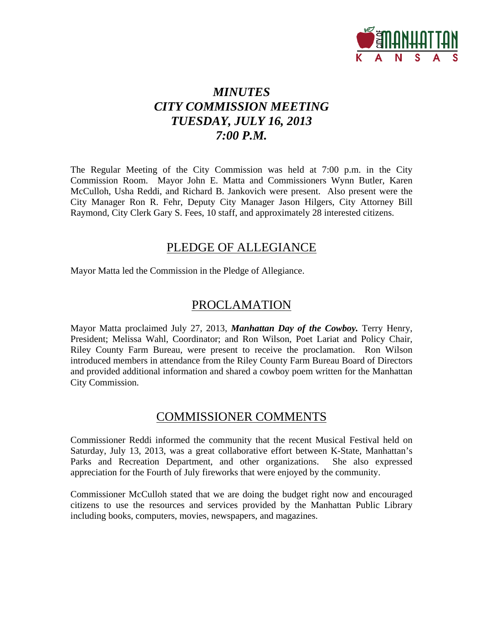

# *MINUTES CITY COMMISSION MEETING TUESDAY, JULY 16, 2013 7:00 P.M.*

The Regular Meeting of the City Commission was held at 7:00 p.m. in the City Commission Room. Mayor John E. Matta and Commissioners Wynn Butler, Karen McCulloh, Usha Reddi, and Richard B. Jankovich were present. Also present were the City Manager Ron R. Fehr, Deputy City Manager Jason Hilgers, City Attorney Bill Raymond, City Clerk Gary S. Fees, 10 staff, and approximately 28 interested citizens.

# PLEDGE OF ALLEGIANCE

Mayor Matta led the Commission in the Pledge of Allegiance.

# PROCLAMATION

Mayor Matta proclaimed July 27, 2013, *Manhattan Day of the Cowboy.* Terry Henry, President; Melissa Wahl, Coordinator; and Ron Wilson, Poet Lariat and Policy Chair, Riley County Farm Bureau, were present to receive the proclamation. Ron Wilson introduced members in attendance from the Riley County Farm Bureau Board of Directors and provided additional information and shared a cowboy poem written for the Manhattan City Commission.

# COMMISSIONER COMMENTS

Commissioner Reddi informed the community that the recent Musical Festival held on Saturday, July 13, 2013, was a great collaborative effort between K-State, Manhattan's Parks and Recreation Department, and other organizations. She also expressed appreciation for the Fourth of July fireworks that were enjoyed by the community.

Commissioner McCulloh stated that we are doing the budget right now and encouraged citizens to use the resources and services provided by the Manhattan Public Library including books, computers, movies, newspapers, and magazines.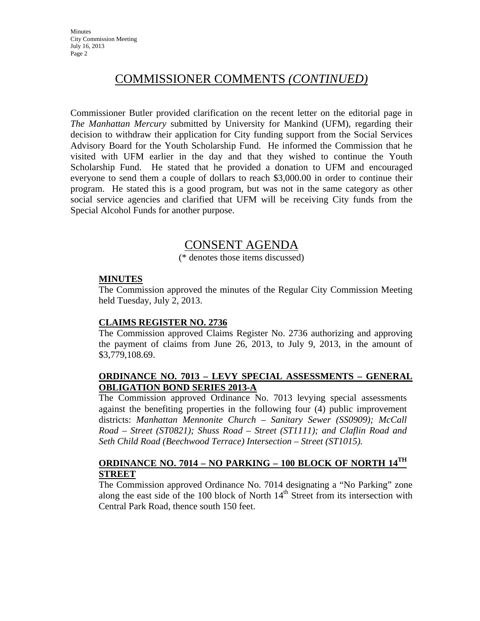# COMMISSIONER COMMENTS *(CONTINUED)*

Commissioner Butler provided clarification on the recent letter on the editorial page in *The Manhattan Mercury* submitted by University for Mankind (UFM), regarding their decision to withdraw their application for City funding support from the Social Services Advisory Board for the Youth Scholarship Fund. He informed the Commission that he visited with UFM earlier in the day and that they wished to continue the Youth Scholarship Fund. He stated that he provided a donation to UFM and encouraged everyone to send them a couple of dollars to reach \$3,000.00 in order to continue their program. He stated this is a good program, but was not in the same category as other social service agencies and clarified that UFM will be receiving City funds from the Special Alcohol Funds for another purpose.

# CONSENT AGENDA

(\* denotes those items discussed)

## **MINUTES**

The Commission approved the minutes of the Regular City Commission Meeting held Tuesday, July 2, 2013.

# **CLAIMS REGISTER NO. 2736**

The Commission approved Claims Register No. 2736 authorizing and approving the payment of claims from June 26, 2013, to July 9, 2013, in the amount of \$3,779,108.69.

## **ORDINANCE NO. 7013 – LEVY SPECIAL ASSESSMENTS – GENERAL OBLIGATION BOND SERIES 2013-A**

The Commission approved Ordinance No. 7013 levying special assessments against the benefiting properties in the following four (4) public improvement districts: *Manhattan Mennonite Church – Sanitary Sewer (SS0909); McCall Road – Street (ST0821); Shuss Road – Street (ST1111); and Claflin Road and Seth Child Road (Beechwood Terrace) Intersection – Street (ST1015).* 

# **ORDINANCE NO. 7014 – NO PARKING – 100 BLOCK OF NORTH 14TH STREET**

The Commission approved Ordinance No. 7014 designating a "No Parking" zone along the east side of the 100 block of North  $14<sup>th</sup>$  Street from its intersection with Central Park Road, thence south 150 feet.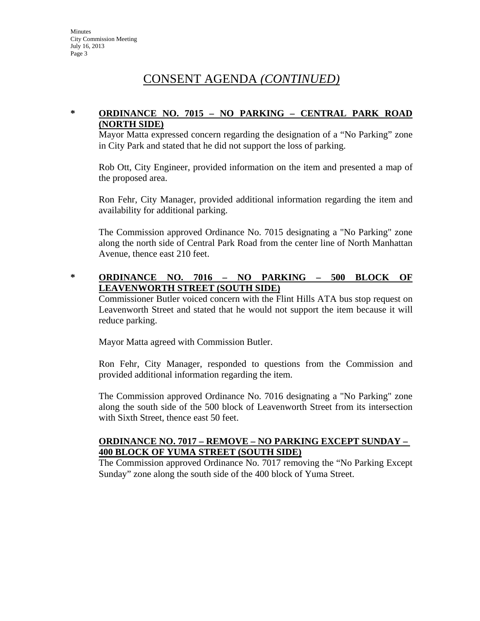# CONSENT AGENDA *(CONTINUED)*

## **\* ORDINANCE NO. 7015 – NO PARKING – CENTRAL PARK ROAD (NORTH SIDE)**

Mayor Matta expressed concern regarding the designation of a "No Parking" zone in City Park and stated that he did not support the loss of parking.

Rob Ott, City Engineer, provided information on the item and presented a map of the proposed area.

Ron Fehr, City Manager, provided additional information regarding the item and availability for additional parking.

The Commission approved Ordinance No. 7015 designating a "No Parking" zone along the north side of Central Park Road from the center line of North Manhattan Avenue, thence east 210 feet.

## **\* ORDINANCE NO. 7016 – NO PARKING – 500 BLOCK OF LEAVENWORTH STREET (SOUTH SIDE)**

Commissioner Butler voiced concern with the Flint Hills ATA bus stop request on Leavenworth Street and stated that he would not support the item because it will reduce parking.

Mayor Matta agreed with Commission Butler.

Ron Fehr, City Manager, responded to questions from the Commission and provided additional information regarding the item.

The Commission approved Ordinance No. 7016 designating a "No Parking" zone along the south side of the 500 block of Leavenworth Street from its intersection with Sixth Street, thence east 50 feet.

### **ORDINANCE NO. 7017 – REMOVE – NO PARKING EXCEPT SUNDAY – 400 BLOCK OF YUMA STREET (SOUTH SIDE)**

The Commission approved Ordinance No. 7017 removing the "No Parking Except Sunday" zone along the south side of the 400 block of Yuma Street.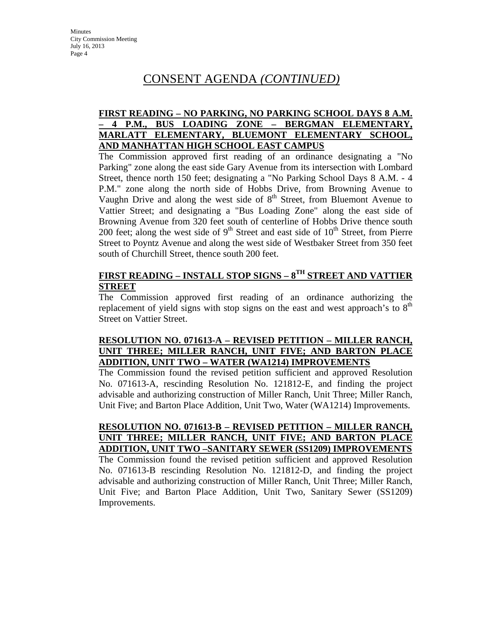# CONSENT AGENDA *(CONTINUED)*

## **FIRST READING – NO PARKING, NO PARKING SCHOOL DAYS 8 A.M. – 4 P.M., BUS LOADING ZONE – BERGMAN ELEMENTARY, MARLATT ELEMENTARY, BLUEMONT ELEMENTARY SCHOOL, AND MANHATTAN HIGH SCHOOL EAST CAMPUS**

The Commission approved first reading of an ordinance designating a "No Parking" zone along the east side Gary Avenue from its intersection with Lombard Street, thence north 150 feet; designating a "No Parking School Days 8 A.M. - 4 P.M." zone along the north side of Hobbs Drive, from Browning Avenue to Vaughn Drive and along the west side of  $8<sup>th</sup>$  Street, from Bluemont Avenue to Vattier Street; and designating a "Bus Loading Zone" along the east side of Browning Avenue from 320 feet south of centerline of Hobbs Drive thence south 200 feet; along the west side of  $9<sup>th</sup>$  Street and east side of  $10<sup>th</sup>$  Street, from Pierre Street to Poyntz Avenue and along the west side of Westbaker Street from 350 feet south of Churchill Street, thence south 200 feet.

# **FIRST READING – INSTALL STOP SIGNS – 8TH STREET AND VATTIER STREET**

The Commission approved first reading of an ordinance authorizing the replacement of yield signs with stop signs on the east and west approach's to  $8<sup>th</sup>$ Street on Vattier Street.

# **RESOLUTION NO. 071613-A – REVISED PETITION – MILLER RANCH, UNIT THREE; MILLER RANCH, UNIT FIVE; AND BARTON PLACE ADDITION, UNIT TWO – WATER (WA1214) IMPROVEMENTS**

The Commission found the revised petition sufficient and approved Resolution No. 071613-A, rescinding Resolution No. 121812-E, and finding the project advisable and authorizing construction of Miller Ranch, Unit Three; Miller Ranch, Unit Five; and Barton Place Addition, Unit Two, Water (WA1214) Improvements.

**RESOLUTION NO. 071613-B – REVISED PETITION – MILLER RANCH, UNIT THREE; MILLER RANCH, UNIT FIVE; AND BARTON PLACE ADDITION, UNIT TWO –SANITARY SEWER (SS1209) IMPROVEMENTS** The Commission found the revised petition sufficient and approved Resolution No. 071613-B rescinding Resolution No. 121812-D, and finding the project advisable and authorizing construction of Miller Ranch, Unit Three; Miller Ranch, Unit Five; and Barton Place Addition, Unit Two, Sanitary Sewer (SS1209) Improvements.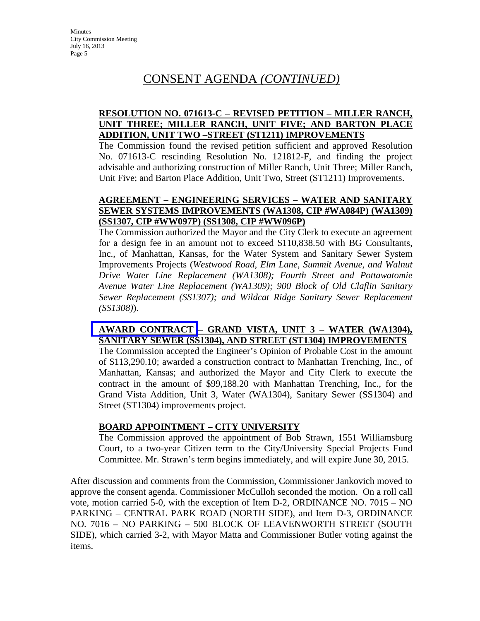# CONSENT AGENDA *(CONTINUED)*

# **RESOLUTION NO. 071613-C – REVISED PETITION – MILLER RANCH, UNIT THREE; MILLER RANCH, UNIT FIVE; AND BARTON PLACE ADDITION, UNIT TWO –STREET (ST1211) IMPROVEMENTS**

The Commission found the revised petition sufficient and approved Resolution No. 071613-C rescinding Resolution No. 121812-F, and finding the project advisable and authorizing construction of Miller Ranch, Unit Three; Miller Ranch, Unit Five; and Barton Place Addition, Unit Two, Street (ST1211) Improvements.

## **AGREEMENT – ENGINEERING SERVICES – WATER AND SANITARY SEWER SYSTEMS IMPROVEMENTS (WA1308, CIP #WA084P) (WA1309) (SS1307, CIP #WW097P) (SS1308, CIP #WW096P)**

The Commission authorized the Mayor and the City Clerk to execute an agreement for a design fee in an amount not to exceed \$110,838.50 with BG Consultants, Inc., of Manhattan, Kansas, for the Water System and Sanitary Sewer System Improvements Projects (*Westwood Road, Elm Lane, Summit Avenue, and Walnut Drive Water Line Replacement (WA1308); Fourth Street and Pottawatomie Avenue Water Line Replacement (WA1309); 900 Block of Old Claflin Sanitary Sewer Replacement (SS1307); and Wildcat Ridge Sanitary Sewer Replacement (SS1308)*).

# **AWARD CONTRACT – GRAND VISTA, UNIT 3 – WATER (WA1304), SANITARY SEWER (SS1304), AND STREET (ST1304) IMPROVEMENTS**

The Commission accepted the Engineer's Opinion of Probable Cost in the amount of \$113,290.10; awarded a construction contract to Manhattan Trenching, Inc., of Manhattan, Kansas; and authorized the Mayor and City Clerk to execute the contract in the amount of \$99,188.20 with Manhattan Trenching, Inc., for the Grand Vista Addition, Unit 3, Water (WA1304), Sanitary Sewer (SS1304) and Street (ST1304) improvements project.

# **BOARD APPOINTMENT – CITY UNIVERSITY**

The Commission approved the appointment of Bob Strawn, 1551 Williamsburg Court, to a two-year Citizen term to the City/University Special Projects Fund Committee. Mr. Strawn's term begins immediately, and will expire June 30, 2015.

After discussion and comments from the Commission, Commissioner Jankovich moved to approve the consent agenda. Commissioner McCulloh seconded the motion. On a roll call vote, motion carried 5-0, with the exception of Item D-2, ORDINANCE NO. 7015 – NO PARKING – CENTRAL PARK ROAD (NORTH SIDE), and Item D-3, ORDINANCE NO. 7016 – NO PARKING – 500 BLOCK OF LEAVENWORTH STREET (SOUTH SIDE), which carried 3-2, with Mayor Matta and Commissioner Butler voting against the items.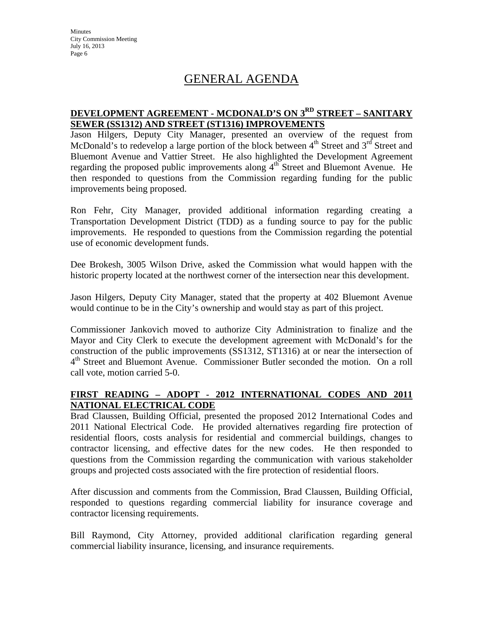**Minutes** City Commission Meeting July 16, 2013 Page 6

# GENERAL AGENDA

# **DEVELOPMENT AGREEMENT - MCDONALD'S ON 3RD STREET – SANITARY SEWER (SS1312) AND STREET (ST1316) IMPROVEMENTS**

Jason Hilgers, Deputy City Manager, presented an overview of the request from McDonald's to redevelop a large portion of the block between  $4<sup>th</sup>$  Street and  $3<sup>rd</sup>$  Street and Bluemont Avenue and Vattier Street. He also highlighted the Development Agreement regarding the proposed public improvements along  $4<sup>th</sup>$  Street and Bluemont Avenue. He then responded to questions from the Commission regarding funding for the public improvements being proposed.

Ron Fehr, City Manager, provided additional information regarding creating a Transportation Development District (TDD) as a funding source to pay for the public improvements. He responded to questions from the Commission regarding the potential use of economic development funds.

Dee Brokesh, 3005 Wilson Drive, asked the Commission what would happen with the historic property located at the northwest corner of the intersection near this development.

Jason Hilgers, Deputy City Manager, stated that the property at 402 Bluemont Avenue would continue to be in the City's ownership and would stay as part of this project.

Commissioner Jankovich moved to authorize City Administration to finalize and the Mayor and City Clerk to execute the development agreement with McDonald's for the construction of the public improvements (SS1312, ST1316) at or near the intersection of 4<sup>th</sup> Street and Bluemont Avenue. Commissioner Butler seconded the motion. On a roll call vote, motion carried 5-0.

# **FIRST READING – ADOPT - 2012 INTERNATIONAL CODES AND 2011 NATIONAL ELECTRICAL CODE**

Brad Claussen, Building Official, presented the proposed 2012 International Codes and 2011 National Electrical Code. He provided alternatives regarding fire protection of residential floors, costs analysis for residential and commercial buildings, changes to contractor licensing, and effective dates for the new codes. He then responded to questions from the Commission regarding the communication with various stakeholder groups and projected costs associated with the fire protection of residential floors.

After discussion and comments from the Commission, Brad Claussen, Building Official, responded to questions regarding commercial liability for insurance coverage and contractor licensing requirements.

Bill Raymond, City Attorney, provided additional clarification regarding general commercial liability insurance, licensing, and insurance requirements.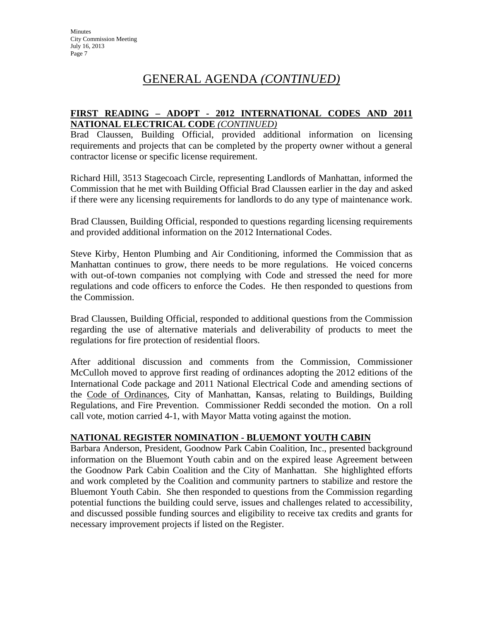## **FIRST READING – ADOPT - 2012 INTERNATIONAL CODES AND 2011 NATIONAL ELECTRICAL CODE** *(CONTINUED)*

Brad Claussen, Building Official, provided additional information on licensing requirements and projects that can be completed by the property owner without a general contractor license or specific license requirement.

Richard Hill, 3513 Stagecoach Circle, representing Landlords of Manhattan, informed the Commission that he met with Building Official Brad Claussen earlier in the day and asked if there were any licensing requirements for landlords to do any type of maintenance work.

Brad Claussen, Building Official, responded to questions regarding licensing requirements and provided additional information on the 2012 International Codes.

Steve Kirby, Henton Plumbing and Air Conditioning, informed the Commission that as Manhattan continues to grow, there needs to be more regulations. He voiced concerns with out-of-town companies not complying with Code and stressed the need for more regulations and code officers to enforce the Codes. He then responded to questions from the Commission.

Brad Claussen, Building Official, responded to additional questions from the Commission regarding the use of alternative materials and deliverability of products to meet the regulations for fire protection of residential floors.

After additional discussion and comments from the Commission, Commissioner McCulloh moved to approve first reading of ordinances adopting the 2012 editions of the International Code package and 2011 National Electrical Code and amending sections of the Code of Ordinances, City of Manhattan, Kansas, relating to Buildings, Building Regulations, and Fire Prevention. Commissioner Reddi seconded the motion. On a roll call vote, motion carried 4-1, with Mayor Matta voting against the motion.

# **NATIONAL REGISTER NOMINATION - BLUEMONT YOUTH CABIN**

Barbara Anderson, President, Goodnow Park Cabin Coalition, Inc., presented background information on the Bluemont Youth cabin and on the expired lease Agreement between the Goodnow Park Cabin Coalition and the City of Manhattan. She highlighted efforts and work completed by the Coalition and community partners to stabilize and restore the Bluemont Youth Cabin. She then responded to questions from the Commission regarding potential functions the building could serve, issues and challenges related to accessibility, and discussed possible funding sources and eligibility to receive tax credits and grants for necessary improvement projects if listed on the Register.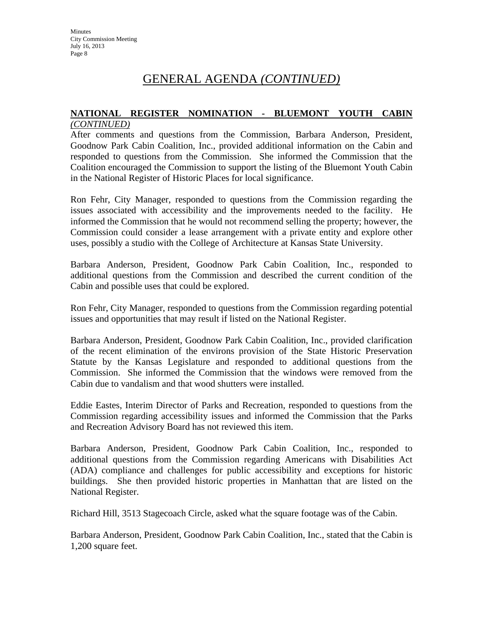#### **NATIONAL REGISTER NOMINATION - BLUEMONT YOUTH CABIN** *(CONTINUED)*

After comments and questions from the Commission, Barbara Anderson, President, Goodnow Park Cabin Coalition, Inc., provided additional information on the Cabin and responded to questions from the Commission. She informed the Commission that the Coalition encouraged the Commission to support the listing of the Bluemont Youth Cabin in the National Register of Historic Places for local significance.

Ron Fehr, City Manager, responded to questions from the Commission regarding the issues associated with accessibility and the improvements needed to the facility. He informed the Commission that he would not recommend selling the property; however, the Commission could consider a lease arrangement with a private entity and explore other uses, possibly a studio with the College of Architecture at Kansas State University.

Barbara Anderson, President, Goodnow Park Cabin Coalition, Inc., responded to additional questions from the Commission and described the current condition of the Cabin and possible uses that could be explored.

Ron Fehr, City Manager, responded to questions from the Commission regarding potential issues and opportunities that may result if listed on the National Register.

Barbara Anderson, President, Goodnow Park Cabin Coalition, Inc., provided clarification of the recent elimination of the environs provision of the State Historic Preservation Statute by the Kansas Legislature and responded to additional questions from the Commission. She informed the Commission that the windows were removed from the Cabin due to vandalism and that wood shutters were installed.

Eddie Eastes, Interim Director of Parks and Recreation, responded to questions from the Commission regarding accessibility issues and informed the Commission that the Parks and Recreation Advisory Board has not reviewed this item.

Barbara Anderson, President, Goodnow Park Cabin Coalition, Inc., responded to additional questions from the Commission regarding Americans with Disabilities Act (ADA) compliance and challenges for public accessibility and exceptions for historic buildings. She then provided historic properties in Manhattan that are listed on the National Register.

Richard Hill, 3513 Stagecoach Circle, asked what the square footage was of the Cabin.

Barbara Anderson, President, Goodnow Park Cabin Coalition, Inc., stated that the Cabin is 1,200 square feet.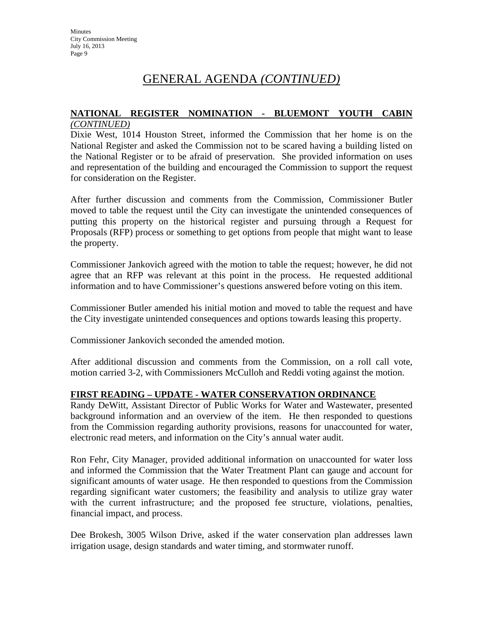#### **NATIONAL REGISTER NOMINATION - BLUEMONT YOUTH CABIN** *(CONTINUED)*

Dixie West, 1014 Houston Street, informed the Commission that her home is on the National Register and asked the Commission not to be scared having a building listed on the National Register or to be afraid of preservation. She provided information on uses and representation of the building and encouraged the Commission to support the request for consideration on the Register.

After further discussion and comments from the Commission, Commissioner Butler moved to table the request until the City can investigate the unintended consequences of putting this property on the historical register and pursuing through a Request for Proposals (RFP) process or something to get options from people that might want to lease the property.

Commissioner Jankovich agreed with the motion to table the request; however, he did not agree that an RFP was relevant at this point in the process. He requested additional information and to have Commissioner's questions answered before voting on this item.

Commissioner Butler amended his initial motion and moved to table the request and have the City investigate unintended consequences and options towards leasing this property.

Commissioner Jankovich seconded the amended motion.

After additional discussion and comments from the Commission, on a roll call vote, motion carried 3-2, with Commissioners McCulloh and Reddi voting against the motion.

# **FIRST READING – UPDATE - WATER CONSERVATION ORDINANCE**

Randy DeWitt, Assistant Director of Public Works for Water and Wastewater, presented background information and an overview of the item. He then responded to questions from the Commission regarding authority provisions, reasons for unaccounted for water, electronic read meters, and information on the City's annual water audit.

Ron Fehr, City Manager, provided additional information on unaccounted for water loss and informed the Commission that the Water Treatment Plant can gauge and account for significant amounts of water usage. He then responded to questions from the Commission regarding significant water customers; the feasibility and analysis to utilize gray water with the current infrastructure; and the proposed fee structure, violations, penalties, financial impact, and process.

Dee Brokesh, 3005 Wilson Drive, asked if the water conservation plan addresses lawn irrigation usage, design standards and water timing, and stormwater runoff.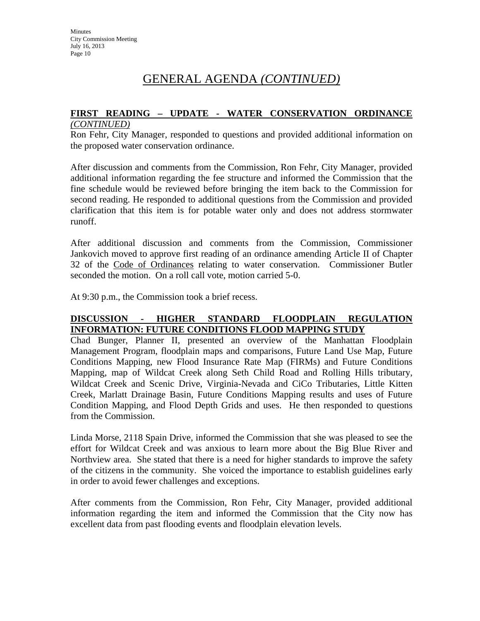# **FIRST READING – UPDATE - WATER CONSERVATION ORDINANCE**

#### *(CONTINUED)*

Ron Fehr, City Manager, responded to questions and provided additional information on the proposed water conservation ordinance.

After discussion and comments from the Commission, Ron Fehr, City Manager, provided additional information regarding the fee structure and informed the Commission that the fine schedule would be reviewed before bringing the item back to the Commission for second reading. He responded to additional questions from the Commission and provided clarification that this item is for potable water only and does not address stormwater runoff.

After additional discussion and comments from the Commission, Commissioner Jankovich moved to approve first reading of an ordinance amending Article II of Chapter 32 of the Code of Ordinances relating to water conservation. Commissioner Butler seconded the motion. On a roll call vote, motion carried 5-0.

At 9:30 p.m., the Commission took a brief recess.

## **DISCUSSION - HIGHER STANDARD FLOODPLAIN REGULATION INFORMATION: FUTURE CONDITIONS FLOOD MAPPING STUDY**

Chad Bunger, Planner II, presented an overview of the Manhattan Floodplain Management Program, floodplain maps and comparisons, Future Land Use Map, Future Conditions Mapping, new Flood Insurance Rate Map (FIRMs) and Future Conditions Mapping, map of Wildcat Creek along Seth Child Road and Rolling Hills tributary, Wildcat Creek and Scenic Drive, Virginia-Nevada and CiCo Tributaries, Little Kitten Creek, Marlatt Drainage Basin, Future Conditions Mapping results and uses of Future Condition Mapping, and Flood Depth Grids and uses. He then responded to questions from the Commission.

Linda Morse, 2118 Spain Drive, informed the Commission that she was pleased to see the effort for Wildcat Creek and was anxious to learn more about the Big Blue River and Northview area. She stated that there is a need for higher standards to improve the safety of the citizens in the community. She voiced the importance to establish guidelines early in order to avoid fewer challenges and exceptions.

After comments from the Commission, Ron Fehr, City Manager, provided additional information regarding the item and informed the Commission that the City now has excellent data from past flooding events and floodplain elevation levels.